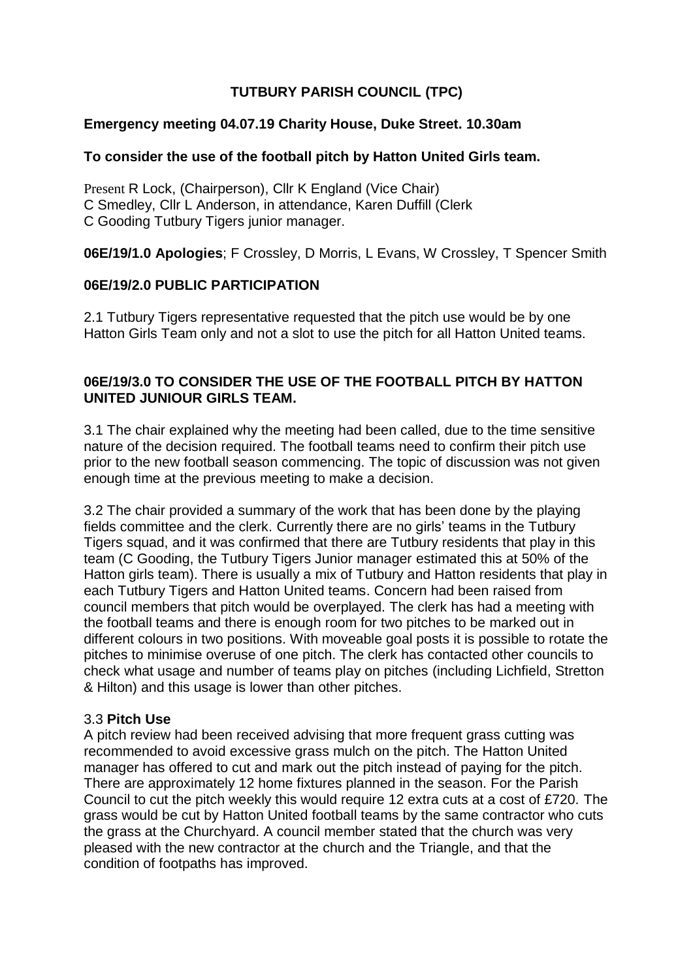# **TUTBURY PARISH COUNCIL (TPC)**

#### **Emergency meeting 04.07.19 Charity House, Duke Street. 10.30am**

## **To consider the use of the football pitch by Hatton United Girls team.**

Present R Lock, (Chairperson), Cllr K England (Vice Chair) C Smedley, Cllr L Anderson, in attendance, Karen Duffill (Clerk C Gooding Tutbury Tigers junior manager.

**06E/19/1.0 Apologies**; F Crossley, D Morris, L Evans, W Crossley, T Spencer Smith

## **06E/19/2.0 PUBLIC PARTICIPATION**

2.1 Tutbury Tigers representative requested that the pitch use would be by one Hatton Girls Team only and not a slot to use the pitch for all Hatton United teams.

## **06E/19/3.0 TO CONSIDER THE USE OF THE FOOTBALL PITCH BY HATTON UNITED JUNIOUR GIRLS TEAM.**

3.1 The chair explained why the meeting had been called, due to the time sensitive nature of the decision required. The football teams need to confirm their pitch use prior to the new football season commencing. The topic of discussion was not given enough time at the previous meeting to make a decision.

3.2 The chair provided a summary of the work that has been done by the playing fields committee and the clerk. Currently there are no girls' teams in the Tutbury Tigers squad, and it was confirmed that there are Tutbury residents that play in this team (C Gooding, the Tutbury Tigers Junior manager estimated this at 50% of the Hatton girls team). There is usually a mix of Tutbury and Hatton residents that play in each Tutbury Tigers and Hatton United teams. Concern had been raised from council members that pitch would be overplayed. The clerk has had a meeting with the football teams and there is enough room for two pitches to be marked out in different colours in two positions. With moveable goal posts it is possible to rotate the pitches to minimise overuse of one pitch. The clerk has contacted other councils to check what usage and number of teams play on pitches (including Lichfield, Stretton & Hilton) and this usage is lower than other pitches.

#### 3.3 **Pitch Use**

A pitch review had been received advising that more frequent grass cutting was recommended to avoid excessive grass mulch on the pitch. The Hatton United manager has offered to cut and mark out the pitch instead of paying for the pitch. There are approximately 12 home fixtures planned in the season. For the Parish Council to cut the pitch weekly this would require 12 extra cuts at a cost of £720. The grass would be cut by Hatton United football teams by the same contractor who cuts the grass at the Churchyard. A council member stated that the church was very pleased with the new contractor at the church and the Triangle, and that the condition of footpaths has improved.